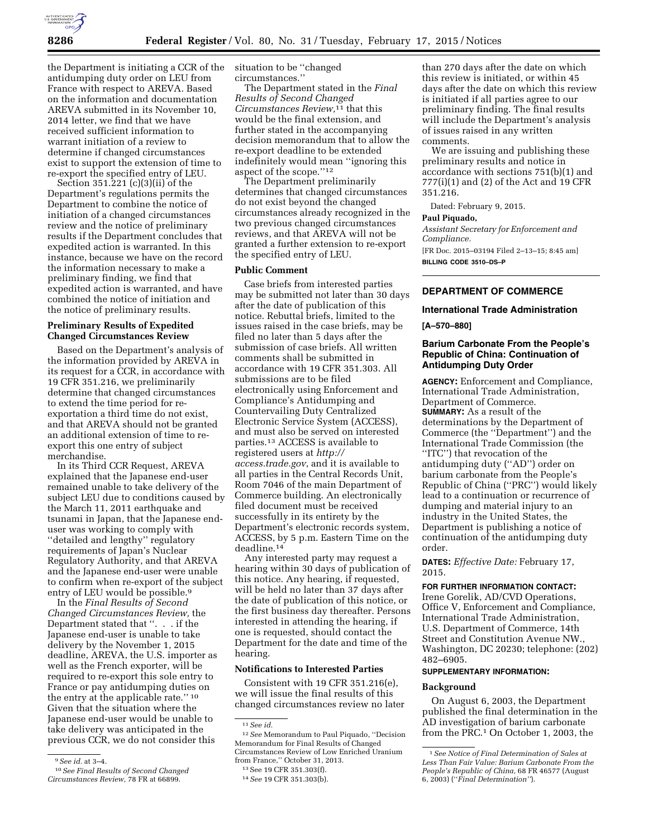

the Department is initiating a CCR of the antidumping duty order on LEU from France with respect to AREVA. Based on the information and documentation AREVA submitted in its November 10, 2014 letter, we find that we have received sufficient information to warrant initiation of a review to determine if changed circumstances exist to support the extension of time to re-export the specified entry of LEU.

Section 351.221 (c)(3)(ii) of the Department's regulations permits the Department to combine the notice of initiation of a changed circumstances review and the notice of preliminary results if the Department concludes that expedited action is warranted. In this instance, because we have on the record the information necessary to make a preliminary finding, we find that expedited action is warranted, and have combined the notice of initiation and the notice of preliminary results.

# **Preliminary Results of Expedited Changed Circumstances Review**

Based on the Department's analysis of the information provided by AREVA in its request for a CCR, in accordance with 19 CFR 351.216, we preliminarily determine that changed circumstances to extend the time period for reexportation a third time do not exist, and that AREVA should not be granted an additional extension of time to reexport this one entry of subject merchandise.

In its Third CCR Request, AREVA explained that the Japanese end-user remained unable to take delivery of the subject LEU due to conditions caused by the March 11, 2011 earthquake and tsunami in Japan, that the Japanese enduser was working to comply with ''detailed and lengthy'' regulatory requirements of Japan's Nuclear Regulatory Authority, and that AREVA and the Japanese end-user were unable to confirm when re-export of the subject entry of LEU would be possible.9

In the *Final Results of Second Changed Circumstances Review,* the Department stated that ''. . . if the Japanese end-user is unable to take delivery by the November 1, 2015 deadline, AREVA, the U.S. importer as well as the French exporter, will be required to re-export this sole entry to France or pay antidumping duties on the entry at the applicable rate.'' 10 Given that the situation where the Japanese end-user would be unable to take delivery was anticipated in the previous CCR, we do not consider this

situation to be ''changed circumstances.''

The Department stated in the *Final Results of Second Changed Circumstances Review,*11 that this would be the final extension, and further stated in the accompanying decision memorandum that to allow the re-export deadline to be extended indefinitely would mean ''ignoring this aspect of the scope.''12

The Department preliminarily determines that changed circumstances do not exist beyond the changed circumstances already recognized in the two previous changed circumstances reviews, and that AREVA will not be granted a further extension to re-export the specified entry of LEU.

#### **Public Comment**

Case briefs from interested parties may be submitted not later than 30 days after the date of publication of this notice. Rebuttal briefs, limited to the issues raised in the case briefs, may be filed no later than 5 days after the submission of case briefs. All written comments shall be submitted in accordance with 19 CFR 351.303. All submissions are to be filed electronically using Enforcement and Compliance's Antidumping and Countervailing Duty Centralized Electronic Service System (ACCESS), and must also be served on interested parties.13 ACCESS is available to registered users at *[http://](http://access.trade.gov) [access.trade.gov](http://access.trade.gov)*, and it is available to all parties in the Central Records Unit, Room 7046 of the main Department of Commerce building. An electronically filed document must be received successfully in its entirety by the Department's electronic records system, ACCESS, by 5 p.m. Eastern Time on the deadline.14

Any interested party may request a hearing within 30 days of publication of this notice. Any hearing, if requested, will be held no later than 37 days after the date of publication of this notice, or the first business day thereafter. Persons interested in attending the hearing, if one is requested, should contact the Department for the date and time of the hearing.

## **Notifications to Interested Parties**

Consistent with 19 CFR 351.216(e), we will issue the final results of this changed circumstances review no later

than 270 days after the date on which this review is initiated, or within 45 days after the date on which this review is initiated if all parties agree to our preliminary finding. The final results will include the Department's analysis of issues raised in any written comments.

We are issuing and publishing these preliminary results and notice in accordance with sections 751(b)(1) and 777(i)(1) and (2) of the Act and 19 CFR 351.216.

Dated: February 9, 2015.

#### **Paul Piquado,**

*Assistant Secretary for Enforcement and Compliance.*  [FR Doc. 2015–03194 Filed 2–13–15; 8:45 am] **BILLING CODE 3510–DS–P** 

# **DEPARTMENT OF COMMERCE**

# **International Trade Administration**

#### **[A–570–880]**

# **Barium Carbonate From the People's Republic of China: Continuation of Antidumping Duty Order**

**AGENCY:** Enforcement and Compliance, International Trade Administration, Department of Commerce. **SUMMARY:** As a result of the determinations by the Department of Commerce (the ''Department'') and the International Trade Commission (the ''ITC'') that revocation of the antidumping duty (''AD'') order on barium carbonate from the People's Republic of China (''PRC'') would likely lead to a continuation or recurrence of dumping and material injury to an industry in the United States, the Department is publishing a notice of continuation of the antidumping duty order.

**DATES:** *Effective Date:* February 17, 2015.

# **FOR FURTHER INFORMATION CONTACT:**

Irene Gorelik, AD/CVD Operations, Office V, Enforcement and Compliance, International Trade Administration, U.S. Department of Commerce, 14th Street and Constitution Avenue NW., Washington, DC 20230; telephone: (202) 482–6905.

## **SUPPLEMENTARY INFORMATION:**

#### **Background**

On August 6, 2003, the Department published the final determination in the AD investigation of barium carbonate from the PRC.<sup>1</sup> On October 1, 2003, the

<sup>9</sup>*See id.* at 3–4.

<sup>10</sup>*See Final Results of Second Changed Circumstances Review,* 78 FR at 66899.

<sup>11</sup>*See id.* 

<sup>12</sup>*See* Memorandum to Paul Piquado, ''Decision Memorandum for Final Results of Changed Circumstances Review of Low Enriched Uranium from France,'' October 31, 2013.

<sup>13</sup>See 19 CFR 351.303(f).

<sup>14</sup>*See* 19 CFR 351.303(b).

<sup>1</sup>*See Notice of Final Determination of Sales at Less Than Fair Value: Barium Carbonate From the People's Republic of China,* 68 FR 46577 (August 6, 2003) (''*Final Determination''*).